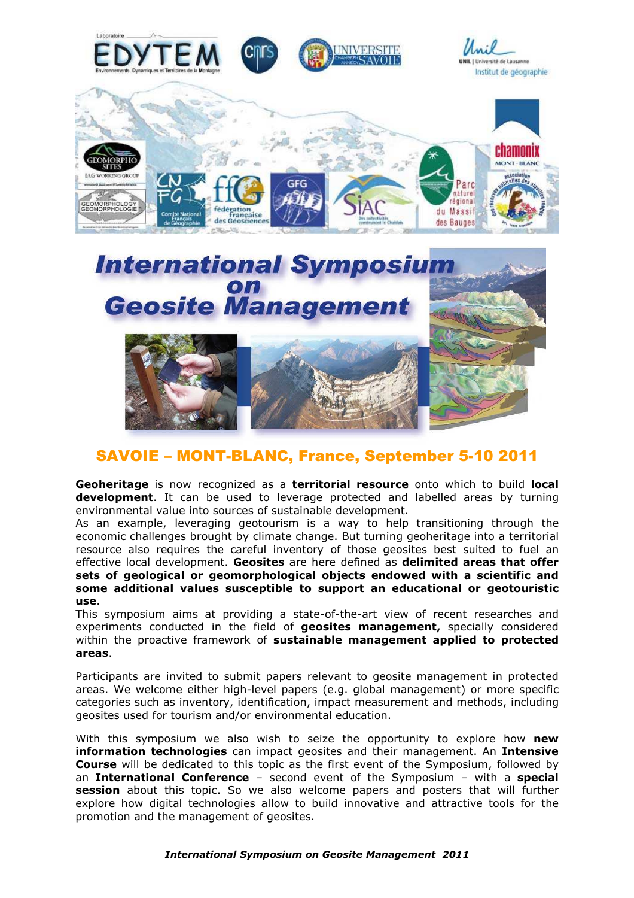



# SAVOIE – MONT-BLANC, France, September 5-10 2011

**Geoheritage** is now recognized as a **territorial resource** onto which to build **local development**. It can be used to leverage protected and labelled areas by turning environmental value into sources of sustainable development.

As an example, leveraging geotourism is a way to help transitioning through the economic challenges brought by climate change. But turning geoheritage into a territorial resource also requires the careful inventory of those geosites best suited to fuel an effective local development. **Geosites** are here defined as **delimited areas that offer sets of geological or geomorphological objects endowed with a scientific and some additional values susceptible to support an educational or geotouristic use**.

This symposium aims at providing a state-of-the-art view of recent researches and experiments conducted in the field of **geosites management,** specially considered within the proactive framework of **sustainable management applied to protected areas**.

Participants are invited to submit papers relevant to geosite management in protected areas. We welcome either high-level papers (e.g. global management) or more specific categories such as inventory, identification, impact measurement and methods, including geosites used for tourism and/or environmental education.

With this symposium we also wish to seize the opportunity to explore how **new information technologies** can impact geosites and their management. An **Intensive Course** will be dedicated to this topic as the first event of the Symposium, followed by an **International Conference** – second event of the Symposium – with a **special session** about this topic. So we also welcome papers and posters that will further explore how digital technologies allow to build innovative and attractive tools for the promotion and the management of geosites.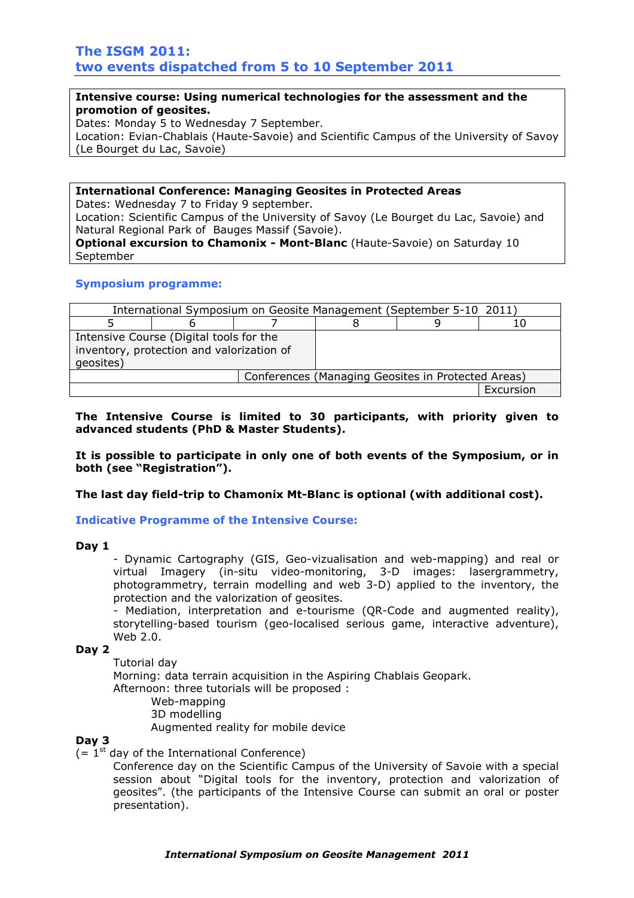# **Intensive course: Using numerical technologies for the assessment and the promotion of geosites.**

Dates: Monday 5 to Wednesday 7 September. Location: Evian-Chablais (Haute-Savoie) and Scientific Campus of the University of Savoy (Le Bourget du Lac, Savoie)

## **International Conference: Managing Geosites in Protected Areas**

Dates: Wednesday 7 to Friday 9 september.

Location: Scientific Campus of the University of Savoy (Le Bourget du Lac, Savoie) and Natural Regional Park of Bauges Massif (Savoie).

**Optional excursion to Chamonix - Mont-Blanc** (Haute-Savoie) on Saturday 10 September

## **Symposium programme:**

| International Symposium on Geosite Management (September 5-10 2011)                               |  |                                                    |  |  |           |  |
|---------------------------------------------------------------------------------------------------|--|----------------------------------------------------|--|--|-----------|--|
|                                                                                                   |  |                                                    |  |  |           |  |
| Intensive Course (Digital tools for the<br>inventory, protection and valorization of<br>qeosites) |  |                                                    |  |  |           |  |
|                                                                                                   |  | Conferences (Managing Geosites in Protected Areas) |  |  |           |  |
|                                                                                                   |  |                                                    |  |  | Excursion |  |

**The Intensive Course is limited to 30 participants, with priority given to advanced students (PhD & Master Students).** 

**It is possible to participate in only one of both events of the Symposium, or in both (see "Registration").** 

**The last day field-trip to Chamonix Mt-Blanc is optional (with additional cost).** 

**Indicative Programme of the Intensive Course:** 

## **Day 1**

- Dynamic Cartography (GIS, Geo-vizualisation and web-mapping) and real or virtual Imagery (in-situ video-monitoring, 3-D images: lasergrammetry, photogrammetry, terrain modelling and web 3-D) applied to the inventory, the protection and the valorization of geosites.

- Mediation, interpretation and e-tourisme (QR-Code and augmented reality), storytelling-based tourism (geo-localised serious game, interactive adventure), Web 2.0.

## **Day 2**

Tutorial day

Morning: data terrain acquisition in the Aspiring Chablais Geopark.

Afternoon: three tutorials will be proposed :

Web-mapping

3D modelling

Augmented reality for mobile device

# **Day 3**

 $(= 1<sup>st</sup>$  day of the International Conference)

Conference day on the Scientific Campus of the University of Savoie with a special session about "Digital tools for the inventory, protection and valorization of geosites". (the participants of the Intensive Course can submit an oral or poster presentation).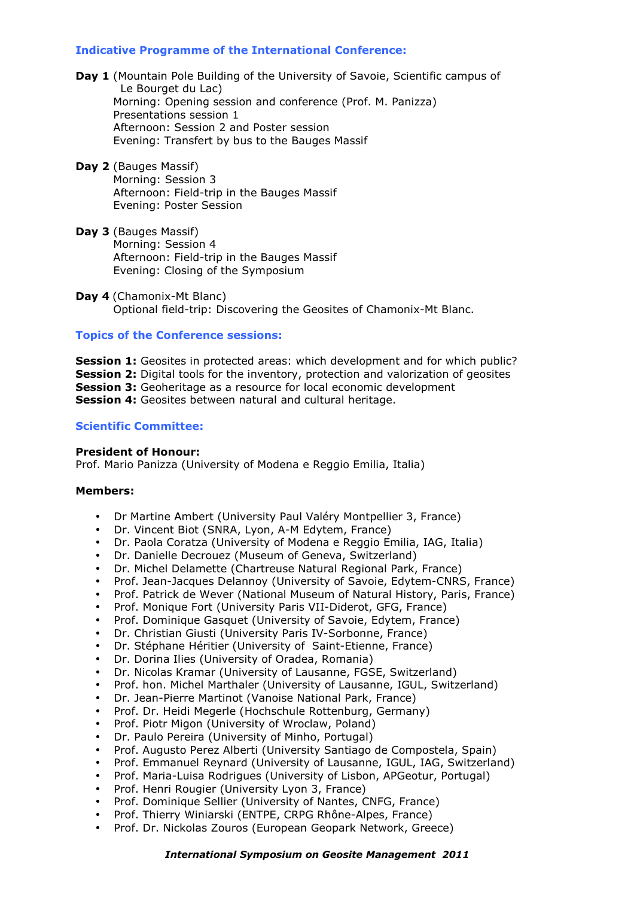# **Indicative Programme of the International Conference:**

- Day 1 (Mountain Pole Building of the University of Savoie, Scientific campus of Le Bourget du Lac) Morning: Opening session and conference (Prof. M. Panizza) Presentations session 1 Afternoon: Session 2 and Poster session Evening: Transfert by bus to the Bauges Massif
- **Day 2** (Bauges Massif) Morning: Session 3 Afternoon: Field-trip in the Bauges Massif Evening: Poster Session
- **Day 3** (Bauges Massif) Morning: Session 4 Afternoon: Field-trip in the Bauges Massif Evening: Closing of the Symposium
- **Day 4** (Chamonix-Mt Blanc) Optional field-trip: Discovering the Geosites of Chamonix-Mt Blanc.

## **Topics of the Conference sessions:**

**Session 1:** Geosites in protected areas: which development and for which public? **Session 2:** Digital tools for the inventory, protection and valorization of geosites **Session 3:** Geoheritage as a resource for local economic development **Session 4:** Geosites between natural and cultural heritage.

## **Scientific Committee:**

#### **President of Honour:**

Prof. Mario Panizza (University of Modena e Reggio Emilia, Italia)

#### **Members:**

- Dr Martine Ambert (University Paul Valéry Montpellier 3, France)
- Dr. Vincent Biot (SNRA, Lyon, A-M Edytem, France)
- Dr. Paola Coratza (University of Modena e Reggio Emilia, IAG, Italia)
- Dr. Danielle Decrouez (Museum of Geneva, Switzerland)
- Dr. Michel Delamette (Chartreuse Natural Regional Park, France)
- Prof. Jean-Jacques Delannoy (University of Savoie, Edytem-CNRS, France)
- Prof. Patrick de Wever (National Museum of Natural History, Paris, France)
- Prof. Monique Fort (University Paris VII-Diderot, GFG, France)
- Prof. Dominique Gasquet (University of Savoie, Edytem, France)
- Dr. Christian Giusti (University Paris IV-Sorbonne, France)
- Dr. Stéphane Héritier (University of Saint-Etienne, France)
- Dr. Dorina Ilies (University of Oradea, Romania)
- Dr. Nicolas Kramar (University of Lausanne, FGSE, Switzerland)
- Prof. hon. Michel Marthaler (University of Lausanne, IGUL, Switzerland)
- Dr. Jean-Pierre Martinot (Vanoise National Park, France)
- Prof. Dr. Heidi Megerle (Hochschule Rottenburg, Germany)
- Prof. Piotr Migon (University of Wroclaw, Poland)
- Dr. Paulo Pereira (University of Minho, Portugal)
- Prof. Augusto Perez Alberti (University Santiago de Compostela, Spain)
- Prof. Emmanuel Reynard (University of Lausanne, IGUL, IAG, Switzerland)
- Prof. Maria-Luisa Rodrigues (University of Lisbon, APGeotur, Portugal)
- Prof. Henri Rougier (University Lyon 3, France)
- Prof. Dominique Sellier (University of Nantes, CNFG, France)
- Prof. Thierry Winiarski (ENTPE, CRPG Rhône-Alpes, France)
- Prof. Dr. Nickolas Zouros (European Geopark Network, Greece)

#### *International Symposium on Geosite Management 2011*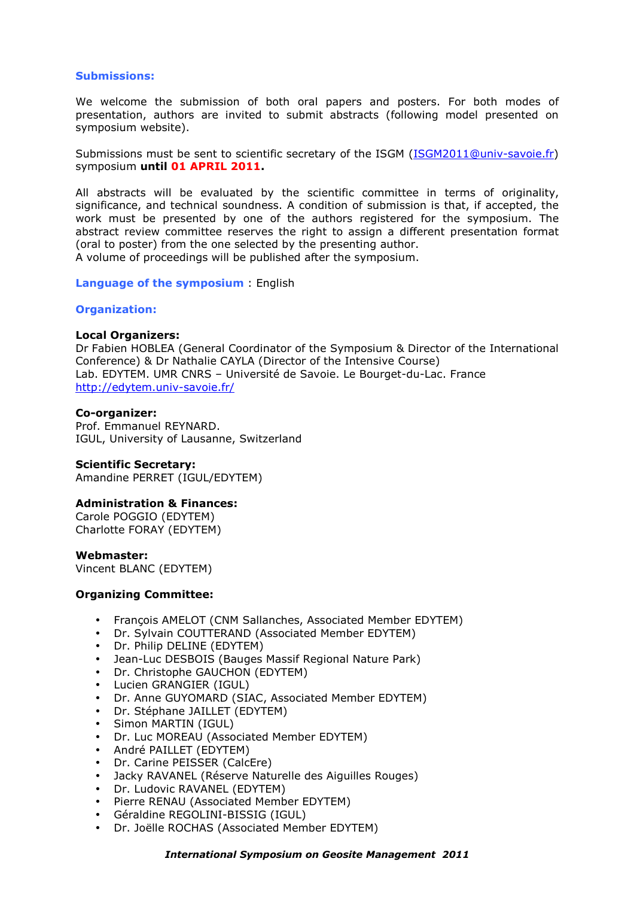## **Submissions:**

We welcome the submission of both oral papers and posters. For both modes of presentation, authors are invited to submit abstracts (following model presented on symposium website).

Submissions must be sent to scientific secretary of the ISGM (ISGM2011@univ-savoie.fr) symposium **until 01 APRIL 2011.**

All abstracts will be evaluated by the scientific committee in terms of originality, significance, and technical soundness. A condition of submission is that, if accepted, the work must be presented by one of the authors registered for the symposium. The abstract review committee reserves the right to assign a different presentation format (oral to poster) from the one selected by the presenting author. A volume of proceedings will be published after the symposium.

**Language of the symposium** : English

## **Organization:**

#### **Local Organizers:**

Dr Fabien HOBLEA (General Coordinator of the Symposium & Director of the International Conference) & Dr Nathalie CAYLA (Director of the Intensive Course) Lab. EDYTEM. UMR CNRS – Université de Savoie. Le Bourget-du-Lac. France http://edytem.univ-savoie.fr/

## **Co-organizer:**

Prof. Emmanuel REYNARD. IGUL, University of Lausanne, Switzerland

## **Scientific Secretary:**

Amandine PERRET (IGUL/EDYTEM)

## **Administration & Finances:**

Carole POGGIO (EDYTEM) Charlotte FORAY (EDYTEM)

#### **Webmaster:**

Vincent BLANC (EDYTEM)

## **Organizing Committee:**

- François AMELOT (CNM Sallanches, Associated Member EDYTEM)
- Dr. Sylvain COUTTERAND (Associated Member EDYTEM)
- Dr. Philip DELINE (EDYTEM)
- Jean-Luc DESBOIS (Bauges Massif Regional Nature Park)
- Dr. Christophe GAUCHON (EDYTEM)
- Lucien GRANGIER (IGUL)
- Dr. Anne GUYOMARD (SIAC, Associated Member EDYTEM)
- Dr. Stéphane JAILLET (EDYTEM)
- Simon MARTIN (IGUL)
- Dr. Luc MOREAU (Associated Member EDYTEM)
- André PAILLET (EDYTEM)
- Dr. Carine PEISSER (CalcEre)
- Jacky RAVANEL (Réserve Naturelle des Aiguilles Rouges)
- Dr. Ludovic RAVANEL (EDYTEM)
- Pierre RENAU (Associated Member EDYTEM)
- Géraldine REGOLINI-BISSIG (IGUL)
- Dr. Joëlle ROCHAS (Associated Member EDYTEM)